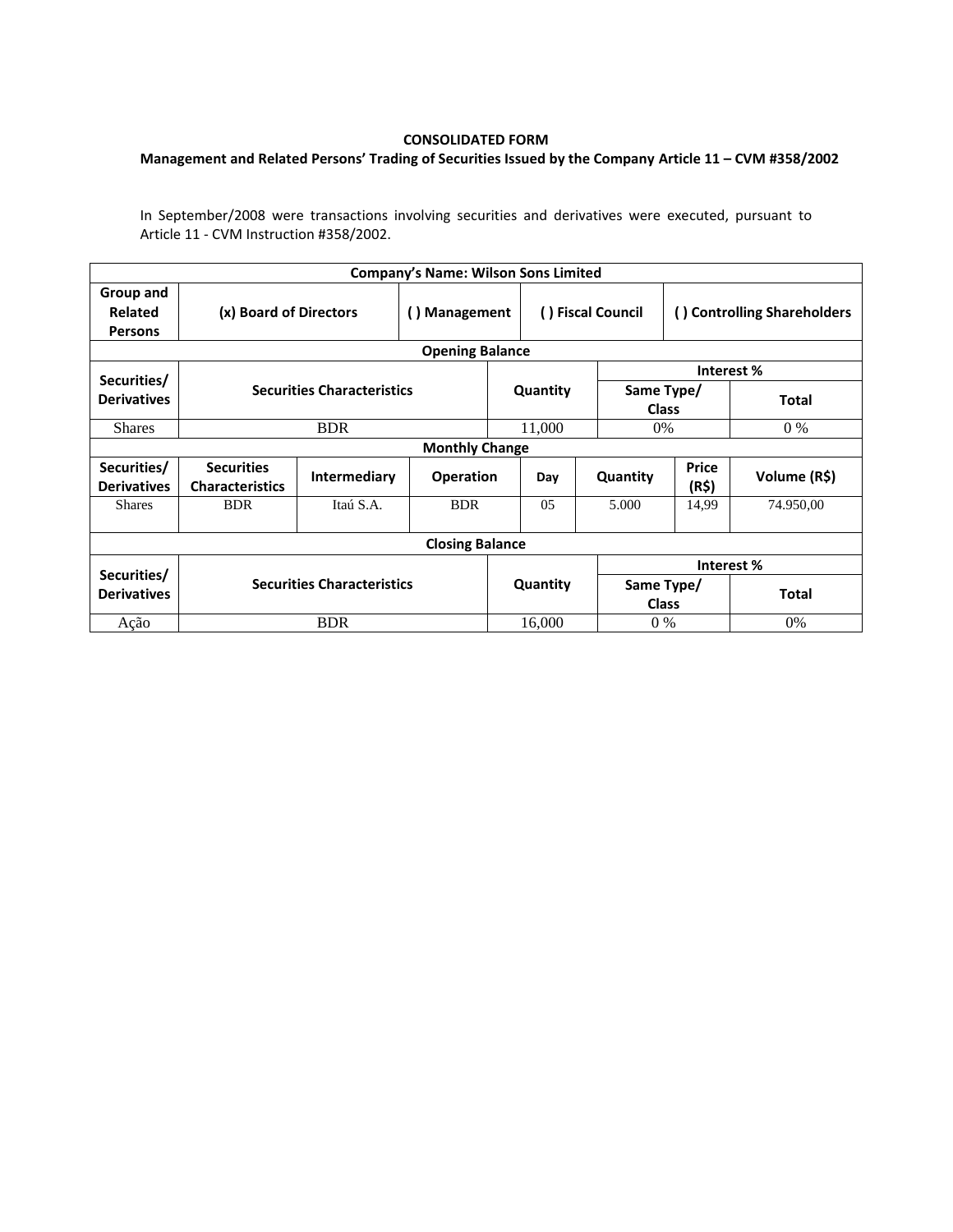## **CONSOLIDATED FORM**

## **Management and Related Persons' Trading of Securities Issued by the Company Article 11 – CVM #358/2002**

In September/2008 were transactions involving securities and derivatives were executed, pursuant to Article 11 - CVM Instruction #358/2002.

|                                        |                                             |                     | <b>Company's Name: Wilson Sons Limited</b> |          |                   |                            |                             |              |  |  |  |  |
|----------------------------------------|---------------------------------------------|---------------------|--------------------------------------------|----------|-------------------|----------------------------|-----------------------------|--------------|--|--|--|--|
| Group and<br>Related<br><b>Persons</b> | (x) Board of Directors                      |                     | () Management                              |          | () Fiscal Council |                            | () Controlling Shareholders |              |  |  |  |  |
| <b>Opening Balance</b>                 |                                             |                     |                                            |          |                   |                            |                             |              |  |  |  |  |
| Securities/                            |                                             |                     |                                            |          |                   | Interest %                 |                             |              |  |  |  |  |
| <b>Derivatives</b>                     | <b>Securities Characteristics</b>           |                     |                                            | Quantity |                   | Same Type/<br><b>Class</b> |                             | Total        |  |  |  |  |
| <b>Shares</b>                          |                                             | <b>BDR</b>          |                                            |          | 11,000            | $0\%$                      |                             | $0\%$        |  |  |  |  |
| <b>Monthly Change</b>                  |                                             |                     |                                            |          |                   |                            |                             |              |  |  |  |  |
| Securities/<br><b>Derivatives</b>      | <b>Securities</b><br><b>Characteristics</b> | <b>Intermediary</b> | <b>Operation</b>                           |          | Day               | Quantity                   | <b>Price</b><br>(R\$)       | Volume (R\$) |  |  |  |  |
| <b>Shares</b>                          | <b>BDR</b>                                  | Itaú S.A.           | <b>BDR</b>                                 |          | 0 <sub>5</sub>    | 5.000                      | 14,99                       | 74.950,00    |  |  |  |  |
| <b>Closing Balance</b>                 |                                             |                     |                                            |          |                   |                            |                             |              |  |  |  |  |
|                                        | <b>Securities Characteristics</b>           |                     |                                            |          |                   | Interest %                 |                             |              |  |  |  |  |
| Securities/<br><b>Derivatives</b>      |                                             |                     |                                            |          | Quantity          | Same Type/<br><b>Class</b> |                             | <b>Total</b> |  |  |  |  |
| Ação                                   | <b>BDR</b>                                  |                     |                                            | 16.000   |                   | $0\%$                      |                             | $0\%$        |  |  |  |  |